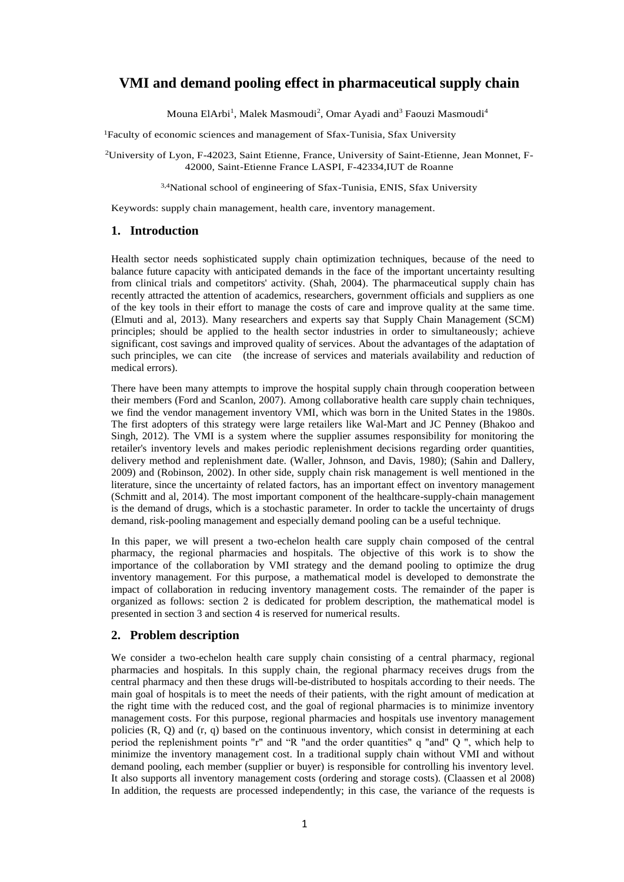# **VMI and demand pooling effect in pharmaceutical supply chain**

Mouna ElArbi<sup>1</sup>, Malek Masmoudi<sup>2</sup>, Omar Ayadi and<sup>3</sup> Faouzi Masmoudi<sup>4</sup>

<sup>1</sup>Faculty of economic sciences and management of Sfax-Tunisia, Sfax University

<sup>2</sup>University of Lyon, F-42023, Saint Etienne, France, University of Saint-Etienne, Jean Monnet, F-42000, Saint-Etienne France LASPI, F-42334,IUT de Roanne

3,4National school of engineering of Sfax-Tunisia, ENIS, Sfax University

Keywords: supply chain management, health care, inventory management.

# **1. Introduction**

Health sector needs sophisticated supply chain optimization techniques, because of the need to balance future capacity with anticipated demands in the face of the important uncertainty resulting from clinical trials and competitors' activity. (Shah, 2004). The pharmaceutical supply chain has recently attracted the attention of academics, researchers, government officials and suppliers as one of the key tools in their effort to manage the costs of care and improve quality at the same time. (Elmuti and al, 2013). Many researchers and experts say that Supply Chain Management (SCM) principles; should be applied to the health sector industries in order to simultaneously; achieve significant, cost savings and improved quality of services. About the advantages of the adaptation of such principles, we can cite (the increase of services and materials availability and reduction of medical errors).

There have been many attempts to improve the hospital supply chain through cooperation between their members (Ford and Scanlon, 2007). Among collaborative health care supply chain techniques, we find the vendor management inventory VMI, which was born in the United States in the 1980s. The first adopters of this strategy were large retailers like Wal-Mart and JC Penney (Bhakoo and Singh, 2012). The VMI is a system where the supplier assumes responsibility for monitoring the retailer's inventory levels and makes periodic replenishment decisions regarding order quantities, delivery method and replenishment date. (Waller, Johnson, and Davis, 1980); (Sahin and Dallery, 2009) and (Robinson, 2002). In other side, supply chain risk management is well mentioned in the literature, since the uncertainty of related factors, has an important effect on inventory management (Schmitt and al, 2014). The most important component of the healthcare-supply-chain management is the demand of drugs, which is a stochastic parameter. In order to tackle the uncertainty of drugs demand, risk-pooling management and especially demand pooling can be a useful technique.

In this paper, we will present a two-echelon health care supply chain composed of the central pharmacy, the regional pharmacies and hospitals. The objective of this work is to show the importance of the collaboration by VMI strategy and the demand pooling to optimize the drug inventory management. For this purpose, a mathematical model is developed to demonstrate the impact of collaboration in reducing inventory management costs. The remainder of the paper is organized as follows: section 2 is dedicated for problem description, the mathematical model is presented in section 3 and section 4 is reserved for numerical results.

# **2. Problem description**

We consider a two-echelon health care supply chain consisting of a central pharmacy, regional pharmacies and hospitals. In this supply chain, the regional pharmacy receives drugs from the central pharmacy and then these drugs will-be-distributed to hospitals according to their needs. The main goal of hospitals is to meet the needs of their patients, with the right amount of medication at the right time with the reduced cost, and the goal of regional pharmacies is to minimize inventory management costs. For this purpose, regional pharmacies and hospitals use inventory management policies (R, Q) and (r, q) based on the continuous inventory, which consist in determining at each period the replenishment points "r" and "R "and the order quantities" q "and" Q ", which help to minimize the inventory management cost. In a traditional supply chain without VMI and without demand pooling, each member (supplier or buyer) is responsible for controlling his inventory level. It also supports all inventory management costs (ordering and storage costs). (Claassen et al 2008) In addition, the requests are processed independently; in this case, the variance of the requests is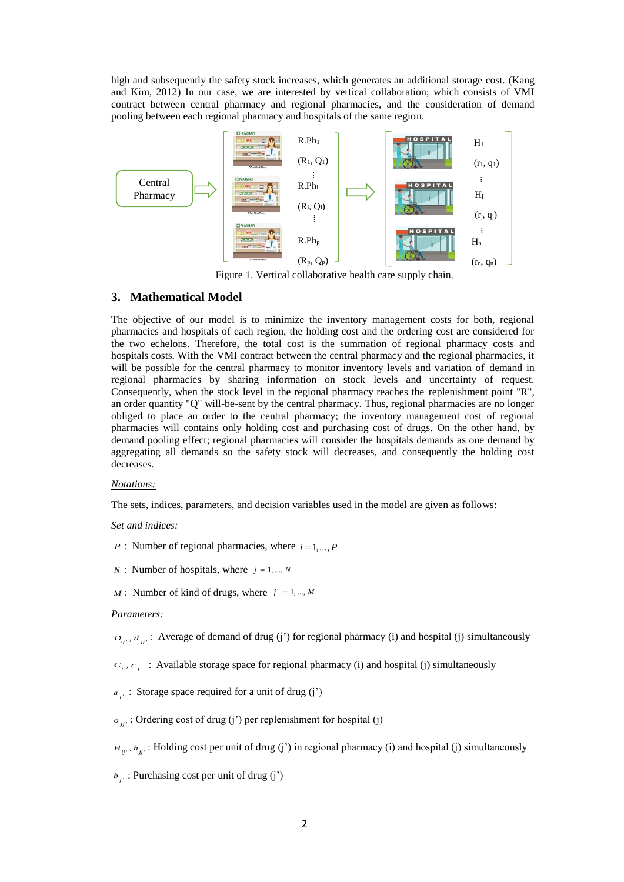high and subsequently the safety stock increases, which generates an additional storage cost. (Kang and Kim, 2012) In our case, we are interested by vertical collaboration; which consists of VMI contract between central pharmacy and regional pharmacies, and the consideration of demand pooling between each regional pharmacy and hospitals of the same region.



Figure 1. Vertical collaborative health care supply chain.

# **3. Mathematical Model**

The objective of our model is to minimize the inventory management costs for both, regional pharmacies and hospitals of each region, the holding cost and the ordering cost are considered for the two echelons. Therefore, the total cost is the summation of regional pharmacy costs and hospitals costs. With the VMI contract between the central pharmacy and the regional pharmacies, it will be possible for the central pharmacy to monitor inventory levels and variation of demand in regional pharmacies by sharing information on stock levels and uncertainty of request. Consequently, when the stock level in the regional pharmacy reaches the replenishment point "R", an order quantity "Q" will-be-sent by the central pharmacy. Thus, regional pharmacies are no longer obliged to place an order to the central pharmacy; the inventory management cost of regional pharmacies will contains only holding cost and purchasing cost of drugs. On the other hand, by demand pooling effect; regional pharmacies will consider the hospitals demands as one demand by aggregating all demands so the safety stock will decreases, and consequently the holding cost decreases.

### *Notations:*

The sets, indices, parameters, and decision variables used in the model are given as follows:

### *Set and indices:*

*P* : Number of regional pharmacies, where  $i = 1, ..., P$ 

- $N:$  Number of hospitals, where  $j = 1, ..., N$
- $M:$  Number of kind of drugs, where  $j' = 1, ..., M$

#### *Parameters:*

 $D_{ij}$ ,  $d_{jj}$ : Average of demand of drug (j') for regional pharmacy (i) and hospital (j) simultaneously

 $c_i, c_j$ : Available storage space for regional pharmacy (i) and hospital (j) simultaneously

 $a_{ji}$ : Storage space required for a unit of drug (j')

 $\sigma_{ij}$  : Ordering cost of drug (j') per replenishment for hospital (j)

 $H_{ij}$ ,  $h_{jj}$ : Holding cost per unit of drug (j') in regional pharmacy (i) and hospital (j) simultaneously

*j* ' *b* : Purchasing cost per unit of drug (j')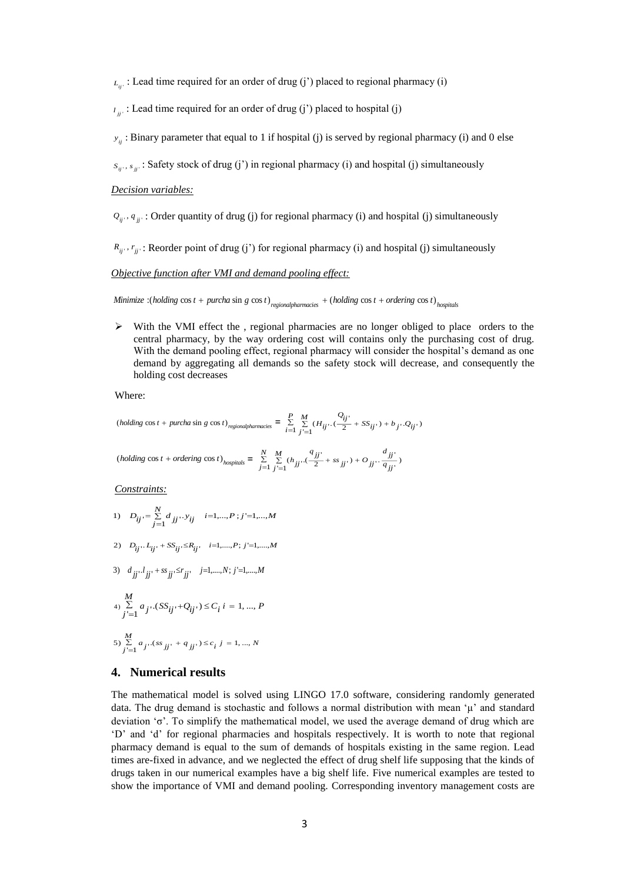$L_{ij}$ : Lead time required for an order of drug (j') placed to regional pharmacy (i)

 $u_{ij}$ : Lead time required for an order of drug (j') placed to hospital (j)

*y<sub>ii</sub>* : Binary parameter that equal to 1 if hospital (j) is served by regional pharmacy (i) and 0 else

 $s_{ij}$ ,  $s_{jj}$ : Safety stock of drug (j') in regional pharmacy (i) and hospital (j) simultaneously

#### *Decision variables:*

 $Q_{ij}$ ,  $q_{jj'}$ : Order quantity of drug (j) for regional pharmacy (i) and hospital (j) simultaneously

 $R_{ij}$ ,  $r_{jj}$ : Reorder point of drug (j') for regional pharmacy (i) and hospital (j) simultaneously

#### *Objective function after VMI and demand pooling effect:*

Minimize :(holding cos t + purcha sin g cos t) regional pharmacies + (holding cos t + ordering cos t)  $_{hovoidal}$ 

 $\triangleright$  With the VMI effect the, regional pharmacies are no longer obliged to place orders to the central pharmacy, by the way ordering cost will contains only the purchasing cost of drug. With the demand pooling effect, regional pharmacy will consider the hospital's demand as one demand by aggregating all demands so the safety stock will decrease, and consequently the holding cost decreases

Where:

(holding cos 
$$
t
$$
 + purchase sin  $g$  cos  $t$ )<sub>regionalphamracies</sub> = 
$$
\sum_{i=1}^{P} \sum_{j'=1}^{M} (H_{ij'} \cdot (\frac{Q_{ij'}}{2} + SS_{ij'}) + b_{j'} \cdot Q_{ij'}
$$
)

$$
\left( \textit{holding } \cos t + \textit{ordering } \cos t \right)_{\textit{hospitals}} = \\ \frac{\sum\limits_{j = 1}^N \sum\limits_{j' = 1}^M (\boldsymbol{h}_{jj'} . (\frac{\boldsymbol{q}_{jj'}}{2} + s \boldsymbol{s}_{jj'}) + O_{jj'} . \frac{\boldsymbol{d}_{jj'}}{\boldsymbol{q}_{jj'}} )
$$

*Constraints:*

1) 
$$
D_{ij} = \sum_{j=1}^{N} d_{jj} \cdots y_{ij}
$$
  $i=1,\dots,P; j'=1,\dots,M$ 

2) 
$$
D_{ij} \tcdot L_{ij} \tcdot + SS_{ij} \le R_{ij} \t i=1,\ldots,P; j'=1,\ldots,M
$$

3) 
$$
d_{jj} \cdot l_{jj'} + ss_{jj'} \le r_{jj'} \quad j=1,\dots,N; j'=1,\dots,M
$$

$$
\begin{aligned} & \underset{j'=1}{M} a_{j'} \cdot (SS_{ij'} + Q_{ij'}) \le C_i \, i = 1, \dots, P \end{aligned}
$$

5) 
$$
\sum_{j'=1}^{M} a_{j'} (ss_{jj'} + q_{jj'}) \le c_i \quad j = 1, ..., N
$$

## **4. Numerical results**

The mathematical model is solved using LINGO 17.0 software, considering randomly generated data. The drug demand is stochastic and follows a normal distribution with mean 'μ' and standard deviation 'σ'. To simplify the mathematical model, we used the average demand of drug which are 'D' and 'd' for regional pharmacies and hospitals respectively. It is worth to note that regional pharmacy demand is equal to the sum of demands of hospitals existing in the same region. Lead times are-fixed in advance, and we neglected the effect of drug shelf life supposing that the kinds of drugs taken in our numerical examples have a big shelf life. Five numerical examples are tested to show the importance of VMI and demand pooling. Corresponding inventory management costs are